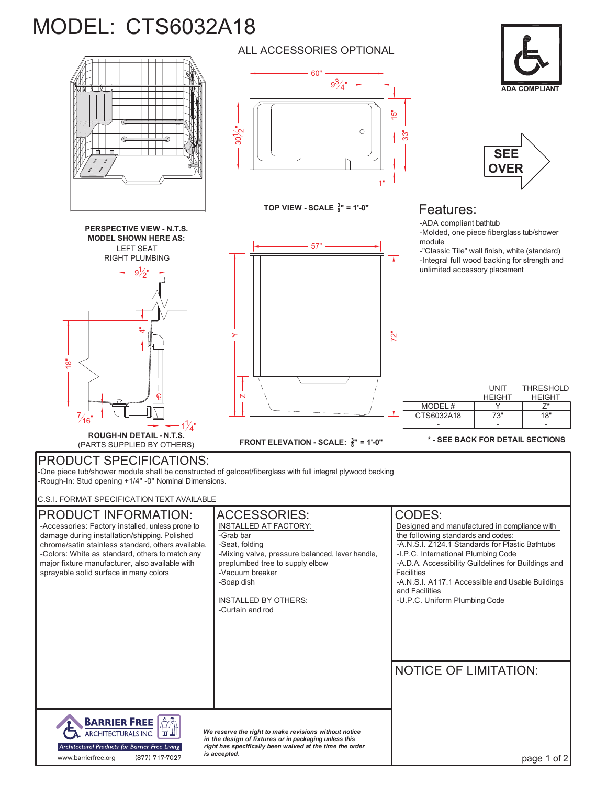## MODEL: CTS6032A18



LEFT SEAT<br>RIGHT PLUMBING

9)  $2"$ 

स

=<br>=

**PERSPECTIVE VIEW - N.T.S. MODEL SHOWN HERE AS:**



ALL ACCESSORIES OPTIONAL

**TOP VIEW - SCALE <sup>3</sup> 8" = 1'-0"**

57"





## Features:

72"

-ADA compliant bathtub

-Molded, one piece fiberglass tub/shower module<br>-"Classic Tile" wall finish, white (standard)

LEFT SEAT<br>RIGHT PLUMBING ← <del>+ III + Integral</del> full wood backing for strength and<br>-Integral full wood backing for strength and unlimited accessory placement

| $\%$ "                                                                                                                                                                                                | N                                                | MODEL#<br>CTS6032A18             | UNIT<br><b>HEIGHT</b><br>73" | THRESHOLD<br><b>HEIGHT</b><br>18" |
|-------------------------------------------------------------------------------------------------------------------------------------------------------------------------------------------------------|--------------------------------------------------|----------------------------------|------------------------------|-----------------------------------|
| <b>ROUGH-IN DETAIL - N.T.S.</b><br>(PARTS SUPPLIED BY OTHERS)                                                                                                                                         | FRONT ELEVATION - SCALE: $\frac{3}{8}$ " = 1'-0" | * - SEE BACK FOR DETAIL SECTIONS |                              |                                   |
| <b>PRODUCT SPECIFICATIONS:</b><br>-One piece tub/shower module shall be constructed of gelcoat/fiberglass with full integral plywood backing<br>-Rough-In: Stud opening +1/4" -0" Nominal Dimensions. |                                                  |                                  |                              |                                   |
| C.S.I. FORMAT SPECIFICATION TEXT AVAILABLE                                                                                                                                                            |                                                  |                                  |                              |                                   |
| DDODLICT INITODMATION.                                                                                                                                                                                | $\Lambda$ CCCCODIEC.                             |                                  |                              |                                   |

-Rough-In: Stud opening +1/4" -0" Nominal Dimensions. C.S.I. FORMAT SPECIFICATION TEXT AVAILABLE PRODUCT INFORMATION: | ACCESSORIES: | CODES: -Accessories: Factory installed, unless prone to INSTALLED AT FACTORY: Designed and manufactured in compliance with damage during installation/shipping. Polished -Grab bar the following standards and codes: -Seat, folding -A.N.S.I. Z124.1 Standards for Plastic Bathtubs chrome/satin stainless standard, others available. -Colors: White as standard, others to match any -Mixing valve, pressure balanced, lever handle, -I.P.C. International Plumbing Code preplumbed tree to supply elbow -A.D.A. Accessibility Guildelines for Buildings and major fixture manufacturer, also available with sprayable solid surface in many colors -Vacuum breaker Facilities -Soap dish -A.N.S.I. A117.1 Accessible and Usable Buildings and Facilities INSTALLED BY OTHERS: -U.P.C. Uniform Plumbing Code -Curtain and rod NOTICE OF LIMITATION: **BARRIER FREE**  $\mathbb{A}$ ARCHITECTURALS INC. *We reserve the right to make revisions without notice* in the design of fixtures or in packaging unless this<br>right has specifically been waived at the time the order Architectural Products for Barrier Free Living w.barrierfree.org  $(877)$  717-7027 is accepted. *is accepted.* www.barrierfree.org (877) 717-7027

 $\succ$